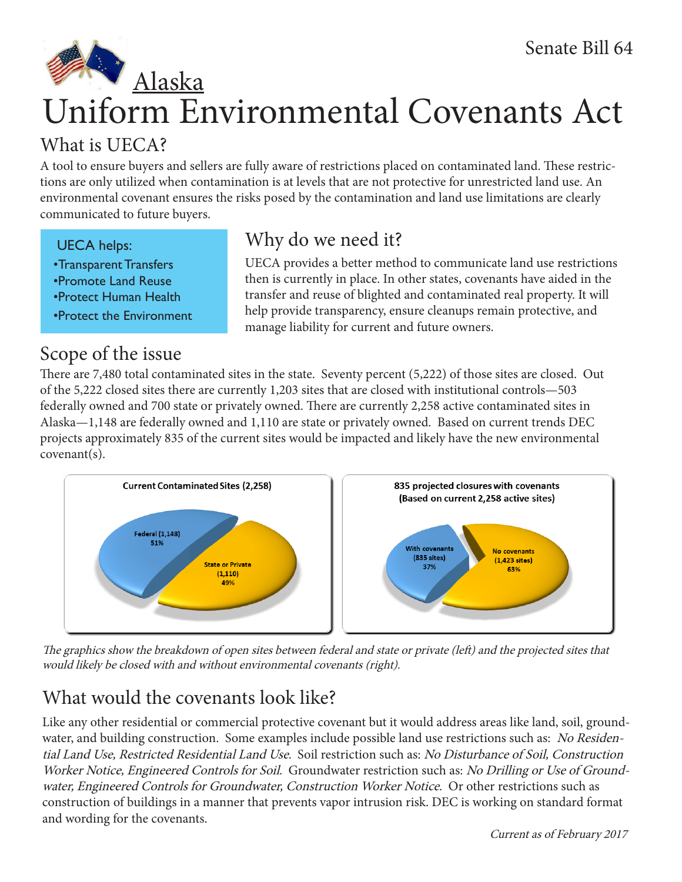# Uniform Environmental Covenants Act Alaska

# What is UECA?

A tool to ensure buyers and sellers are fully aware of restrictions placed on contaminated land. These restrictions are only utilized when contamination is at levels that are not protective for unrestricted land use. An environmental covenant ensures the risks posed by the contamination and land use limitations are clearly communicated to future buyers.

## UECA helps:

- •Transparent Transfers
- •Promote Land Reuse
- •Protect Human Health
- •Protect the Environment

## Scope of the issue

# Why do we need it?

UECA provides a better method to communicate land use restrictions then is currently in place. In other states, covenants have aided in the transfer and reuse of blighted and contaminated real property. It will help provide transparency, ensure cleanups remain protective, and manage liability for current and future owners.

There are 7,480 total contaminated sites in the state. Seventy percent (5,222) of those sites are closed. Out of the 5,222 closed sites there are currently 1,203 sites that are closed with institutional controls—503 federally owned and 700 state or privately owned. There are currently 2,258 active contaminated sites in Alaska—1,148 are federally owned and 1,110 are state or privately owned. Based on current trends DEC projects approximately 835 of the current sites would be impacted and likely have the new environmental covenant(s).



The graphics show the breakdown of open sites between federal and state or private (left) and the projected sites that would likely be closed with and without environmental covenants (right).

# What would the covenants look like?

Like any other residential or commercial protective covenant but it would address areas like land, soil, groundwater, and building construction. Some examples include possible land use restrictions such as: No Residential Land Use, Restricted Residential Land Use. Soil restriction such as: No Disturbance of Soil, Construction Worker Notice, Engineered Controls for Soil. Groundwater restriction such as: No Drilling or Use of Groundwater, Engineered Controls for Groundwater, Construction Worker Notice. Or other restrictions such as construction of buildings in a manner that prevents vapor intrusion risk. DEC is working on standard format and wording for the covenants.